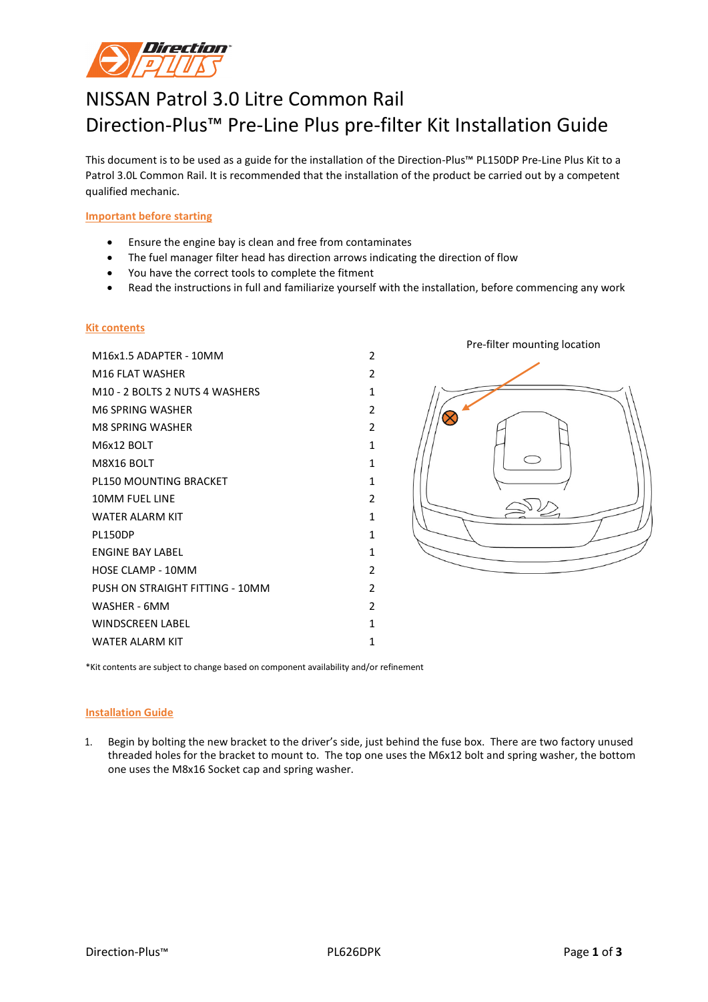

# NISSAN Patrol 3.0 Litre Common Rail Direction-Plus™ Pre-Line Plus pre-filter Kit Installation Guide

This document is to be used as a guide for the installation of the Direction-Plus™ PL150DP Pre-Line Plus Kit to a Patrol 3.0L Common Rail. It is recommended that the installation of the product be carried out by a competent qualified mechanic.

### **Important before starting**

- Ensure the engine bay is clean and free from contaminates
- The fuel manager filter head has direction arrows indicating the direction of flow
- You have the correct tools to complete the fitment
- Read the instructions in full and familiarize yourself with the installation, before commencing any work

#### **Kit contents**

M16x1.5 ADAPTER - 10MM 2 M16 FLAT WASHER 2 M10 - 2 BOLTS 2 NUTS 4 WASHERS 1 M6 SPRING WASHER 2 M8 SPRING WASHER 2 M6x12 BOLT 1 M8X16 BOLT 1 PL150 MOUNTING BRACKET 1 1 10MM FUEL LINE 2 WATER ALARM KIT 1 PL150DP 1 ENGINE BAY LABEL 1 HOSE CLAMP - 10MM 2 PUSH ON STRAIGHT FITTING - 10MM WASHER - 6MM 2 WINDSCREEN LABEL 1 WATER ALARM KIT 1 1



\*Kit contents are subject to change based on component availability and/or refinement

#### **Installation Guide**

1. Begin by bolting the new bracket to the driver's side, just behind the fuse box. There are two factory unused threaded holes for the bracket to mount to. The top one uses the M6x12 bolt and spring washer, the bottom one uses the M8x16 Socket cap and spring washer.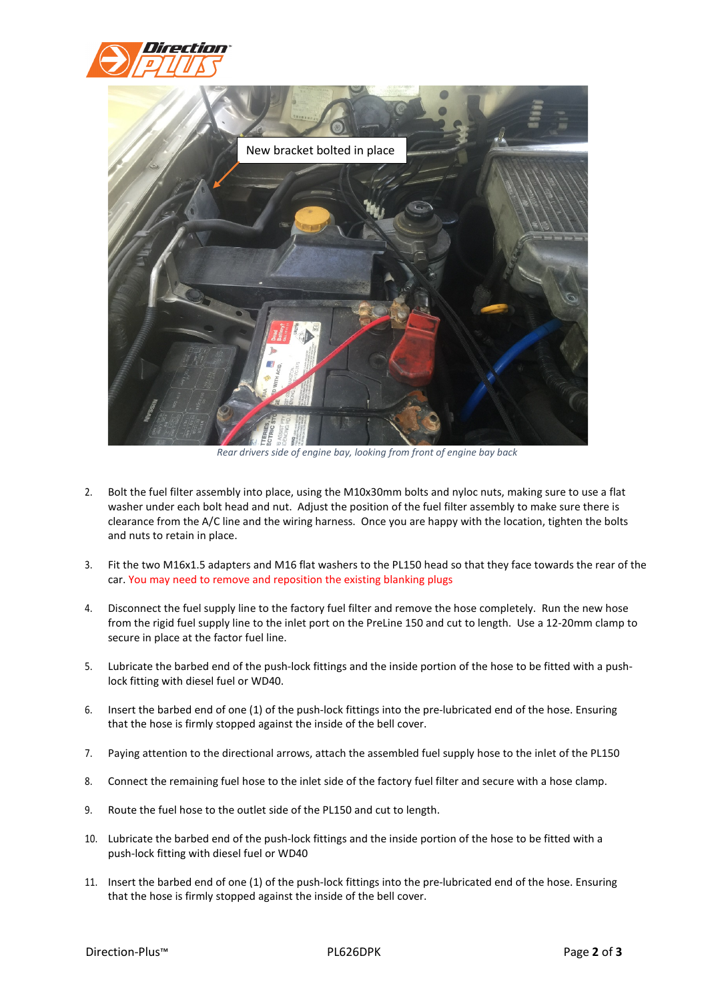



*Rear drivers side of engine bay, looking from front of engine bay back*

- 2. Bolt the fuel filter assembly into place, using the M10x30mm bolts and nyloc nuts, making sure to use a flat washer under each bolt head and nut. Adjust the position of the fuel filter assembly to make sure there is clearance from the A/C line and the wiring harness. Once you are happy with the location, tighten the bolts and nuts to retain in place.
- 3. Fit the two M16x1.5 adapters and M16 flat washers to the PL150 head so that they face towards the rear of the car. You may need to remove and reposition the existing blanking plugs
- 4. Disconnect the fuel supply line to the factory fuel filter and remove the hose completely. Run the new hose from the rigid fuel supply line to the inlet port on the PreLine 150 and cut to length. Use a 12-20mm clamp to secure in place at the factor fuel line.
- 5. Lubricate the barbed end of the push-lock fittings and the inside portion of the hose to be fitted with a pushlock fitting with diesel fuel or WD40.
- 6. Insert the barbed end of one (1) of the push-lock fittings into the pre-lubricated end of the hose. Ensuring that the hose is firmly stopped against the inside of the bell cover.
- 7. Paying attention to the directional arrows, attach the assembled fuel supply hose to the inlet of the PL150
- 8. Connect the remaining fuel hose to the inlet side of the factory fuel filter and secure with a hose clamp.
- 9. Route the fuel hose to the outlet side of the PL150 and cut to length.
- 10. Lubricate the barbed end of the push-lock fittings and the inside portion of the hose to be fitted with a push-lock fitting with diesel fuel or WD40
- 11. Insert the barbed end of one (1) of the push-lock fittings into the pre-lubricated end of the hose. Ensuring that the hose is firmly stopped against the inside of the bell cover.